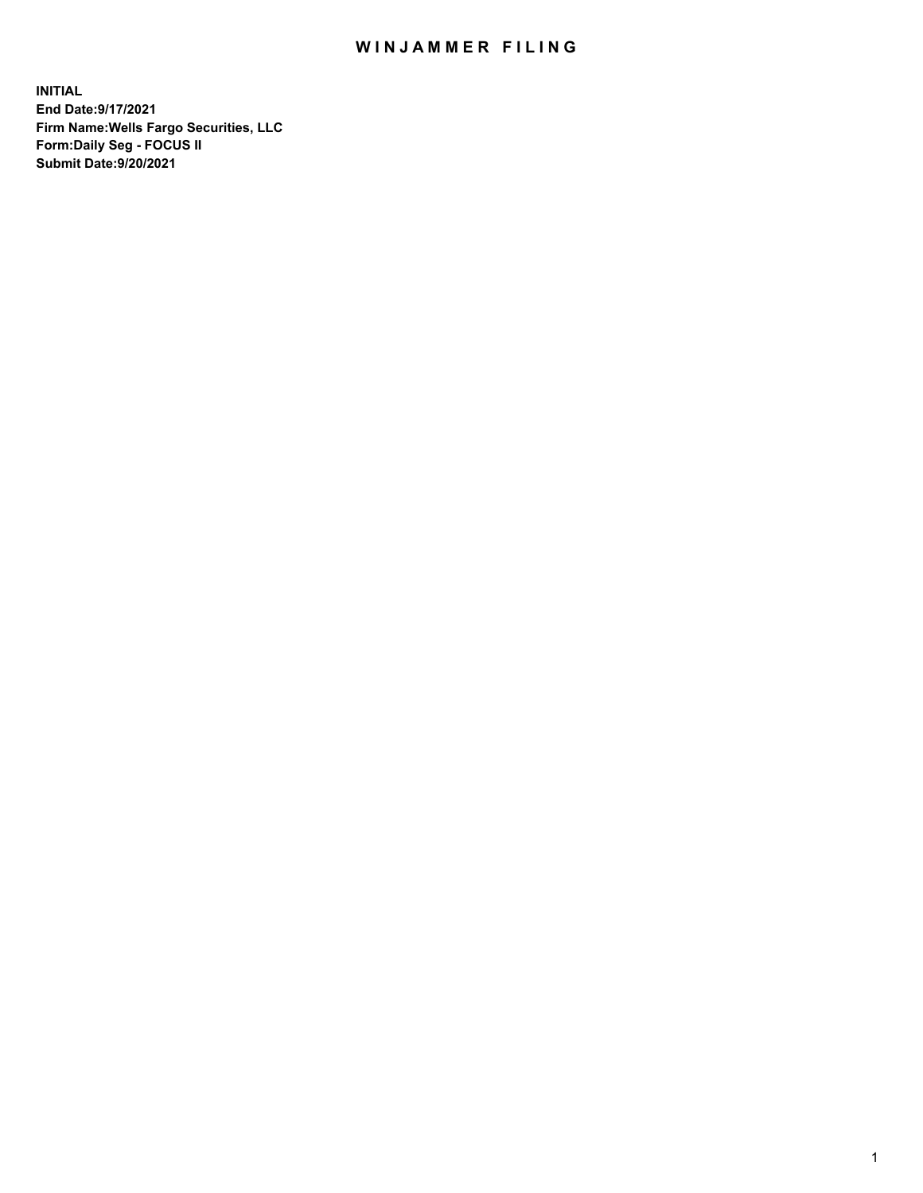## WIN JAMMER FILING

**INITIAL End Date:9/17/2021 Firm Name:Wells Fargo Securities, LLC Form:Daily Seg - FOCUS II Submit Date:9/20/2021**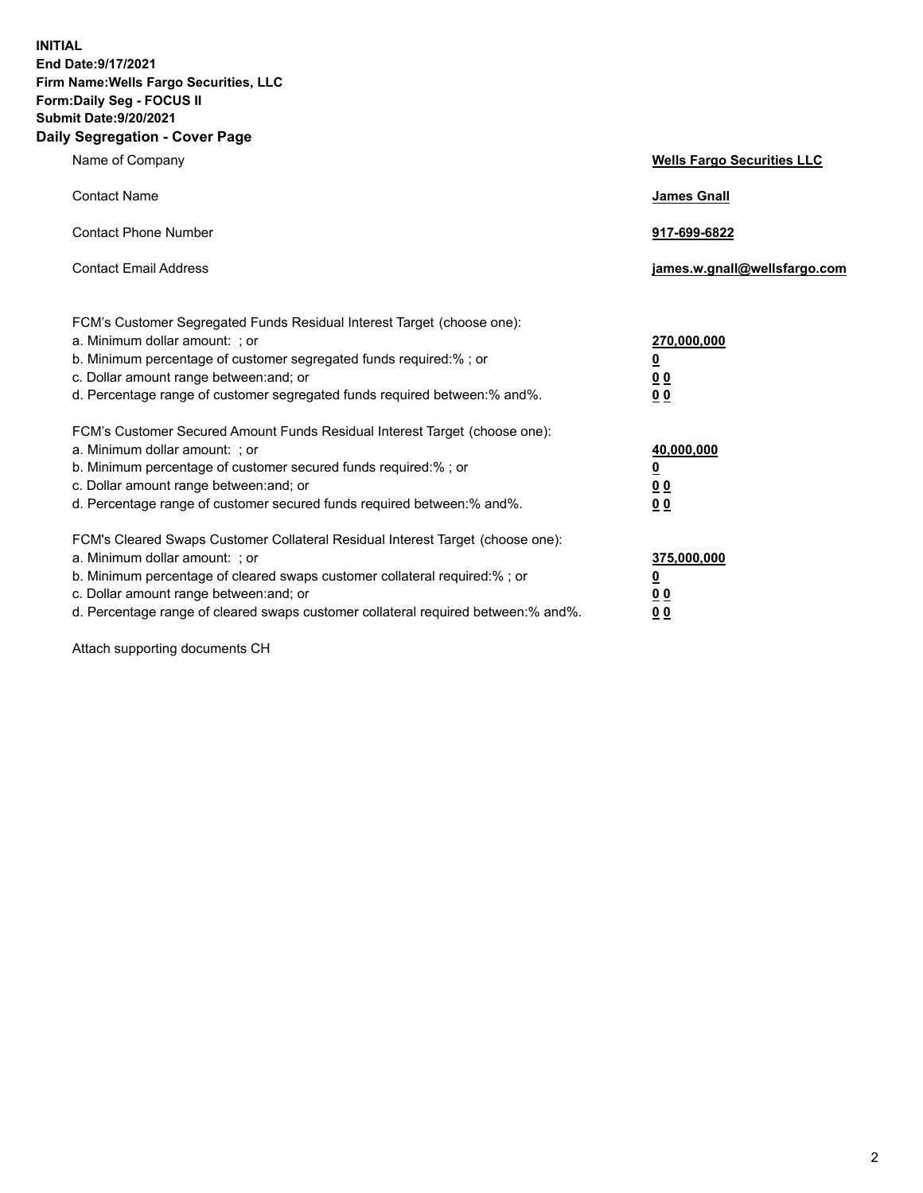**INITIAL End Date:9/17/2021 Firm Name:Wells Fargo Securities, LLC Form:Daily Seg - FOCUS II Submit Date:9/20/2021 Daily Segregation - Cover Page**

| Name of Company                                                                                                                                                                                                                                                                                                                | <b>Wells Fargo Securities LLC</b>                                         |
|--------------------------------------------------------------------------------------------------------------------------------------------------------------------------------------------------------------------------------------------------------------------------------------------------------------------------------|---------------------------------------------------------------------------|
| <b>Contact Name</b>                                                                                                                                                                                                                                                                                                            | <b>James Gnall</b>                                                        |
| <b>Contact Phone Number</b>                                                                                                                                                                                                                                                                                                    | 917-699-6822                                                              |
| <b>Contact Email Address</b>                                                                                                                                                                                                                                                                                                   | james.w.gnall@wellsfargo.com                                              |
| FCM's Customer Segregated Funds Residual Interest Target (choose one):<br>a. Minimum dollar amount: ; or<br>b. Minimum percentage of customer segregated funds required:% ; or<br>c. Dollar amount range between: and; or<br>d. Percentage range of customer segregated funds required between:% and%.                         | 270,000,000<br>$\overline{\mathbf{0}}$<br>0 <sub>0</sub><br>00            |
| FCM's Customer Secured Amount Funds Residual Interest Target (choose one):<br>a. Minimum dollar amount: ; or<br>b. Minimum percentage of customer secured funds required:%; or<br>c. Dollar amount range between: and; or<br>d. Percentage range of customer secured funds required between:% and%.                            | 40,000,000<br>$\overline{\mathbf{0}}$<br>0 <sub>0</sub><br>0 <sub>0</sub> |
| FCM's Cleared Swaps Customer Collateral Residual Interest Target (choose one):<br>a. Minimum dollar amount: ; or<br>b. Minimum percentage of cleared swaps customer collateral required:% ; or<br>c. Dollar amount range between: and; or<br>d. Percentage range of cleared swaps customer collateral required between:% and%. | 375,000,000<br><u>0</u><br>00<br>00                                       |

Attach supporting documents CH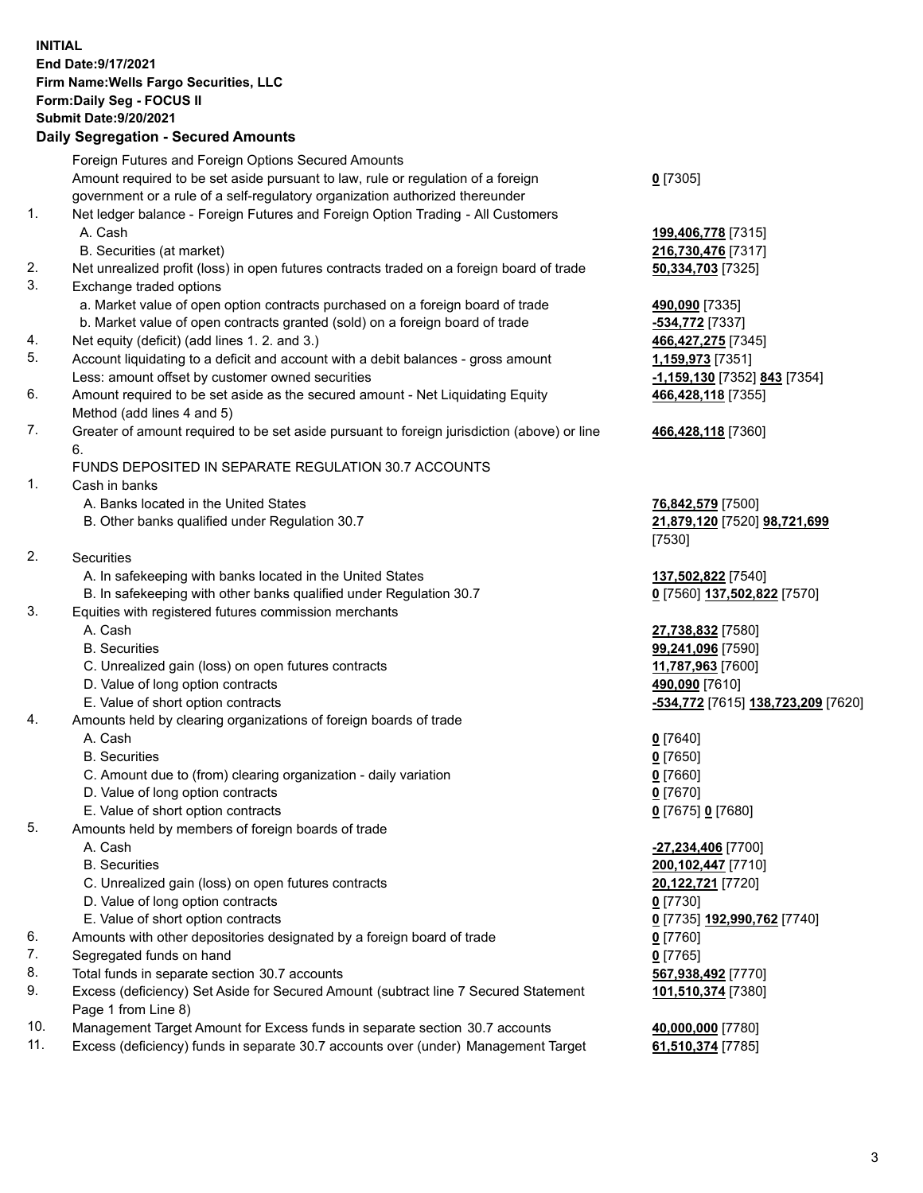**INITIAL End Date:9/17/2021 Firm Name:Wells Fargo Securities, LLC Form:Daily Seg - FOCUS II Submit Date:9/20/2021**

## **Daily Segregation - Secured Amounts**

|     | Foreign Futures and Foreign Options Secured Amounts                                         |                                    |
|-----|---------------------------------------------------------------------------------------------|------------------------------------|
|     | Amount required to be set aside pursuant to law, rule or regulation of a foreign            | $0$ [7305]                         |
|     | government or a rule of a self-regulatory organization authorized thereunder                |                                    |
| 1.  | Net ledger balance - Foreign Futures and Foreign Option Trading - All Customers             |                                    |
|     | A. Cash                                                                                     | 199,406,778 [7315]                 |
|     | B. Securities (at market)                                                                   | 216,730,476 [7317]                 |
| 2.  | Net unrealized profit (loss) in open futures contracts traded on a foreign board of trade   | 50,334,703 [7325]                  |
| 3.  | Exchange traded options                                                                     |                                    |
|     | a. Market value of open option contracts purchased on a foreign board of trade              | 490,090 [7335]                     |
|     | b. Market value of open contracts granted (sold) on a foreign board of trade                | -534,772 [7337]                    |
| 4.  | Net equity (deficit) (add lines 1.2. and 3.)                                                | 466,427,275 [7345]                 |
| 5.  | Account liquidating to a deficit and account with a debit balances - gross amount           | 1,159,973 [7351]                   |
|     | Less: amount offset by customer owned securities                                            | -1,159,130 [7352] 843 [7354]       |
| 6.  | Amount required to be set aside as the secured amount - Net Liquidating Equity              | 466,428,118 [7355]                 |
|     | Method (add lines 4 and 5)                                                                  |                                    |
| 7.  | Greater of amount required to be set aside pursuant to foreign jurisdiction (above) or line | 466,428,118 [7360]                 |
|     | 6.                                                                                          |                                    |
|     | FUNDS DEPOSITED IN SEPARATE REGULATION 30.7 ACCOUNTS                                        |                                    |
| 1.  | Cash in banks                                                                               |                                    |
|     | A. Banks located in the United States                                                       | 76,842,579 [7500]                  |
|     | B. Other banks qualified under Regulation 30.7                                              | 21,879,120 [7520] 98,721,699       |
|     |                                                                                             | [7530]                             |
| 2.  | Securities                                                                                  |                                    |
|     | A. In safekeeping with banks located in the United States                                   | 137,502,822 [7540]                 |
|     | B. In safekeeping with other banks qualified under Regulation 30.7                          | 0 [7560] 137,502,822 [7570]        |
| 3.  | Equities with registered futures commission merchants                                       |                                    |
|     | A. Cash                                                                                     | 27,738,832 [7580]                  |
|     | <b>B.</b> Securities                                                                        | 99,241,096 [7590]                  |
|     | C. Unrealized gain (loss) on open futures contracts                                         | 11,787,963 [7600]                  |
|     | D. Value of long option contracts                                                           | 490,090 [7610]                     |
|     | E. Value of short option contracts                                                          | -534,772 [7615] 138,723,209 [7620] |
| 4.  | Amounts held by clearing organizations of foreign boards of trade                           |                                    |
|     | A. Cash                                                                                     | $0$ [7640]                         |
|     | <b>B.</b> Securities                                                                        | $0$ [7650]                         |
|     | C. Amount due to (from) clearing organization - daily variation                             | $0$ [7660]                         |
|     | D. Value of long option contracts                                                           | $0$ [7670]                         |
|     | E. Value of short option contracts                                                          | $0$ [7675] $0$ [7680]              |
| 5.  | Amounts held by members of foreign boards of trade                                          |                                    |
|     | A. Cash                                                                                     | -27,234,406 [7700]                 |
|     | <b>B.</b> Securities                                                                        | 200,102,447 [7710]                 |
|     | C. Unrealized gain (loss) on open futures contracts                                         | 20,122,721 [7720]                  |
|     | D. Value of long option contracts                                                           | $0$ [7730]                         |
|     | E. Value of short option contracts                                                          | 0 [7735] 192,990,762 [7740]        |
| 6.  | Amounts with other depositories designated by a foreign board of trade                      | $0$ [7760]                         |
| 7.  | Segregated funds on hand                                                                    | $0$ [7765]                         |
| 8.  | Total funds in separate section 30.7 accounts                                               | 567,938,492 [7770]                 |
| 9.  | Excess (deficiency) Set Aside for Secured Amount (subtract line 7 Secured Statement         | 101,510,374 [7380]                 |
|     | Page 1 from Line 8)                                                                         |                                    |
| 10. | Management Target Amount for Excess funds in separate section 30.7 accounts                 | 40,000,000 [7780]                  |

11. Excess (deficiency) funds in separate 30.7 accounts over (under) Management Target **61,510,374** [7785]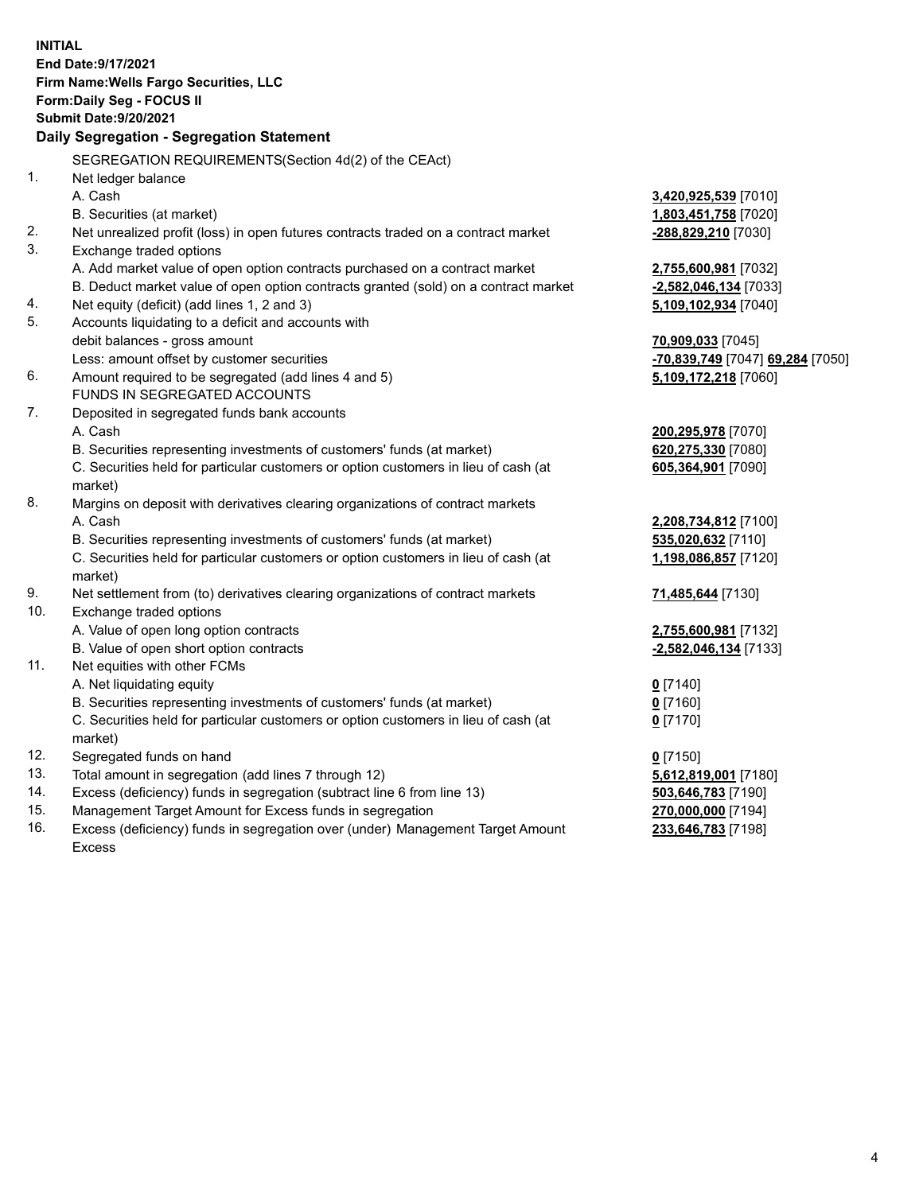**INITIAL End Date:9/17/2021 Firm Name:Wells Fargo Securities, LLC Form:Daily Seg - FOCUS II Submit Date:9/20/2021 Daily Segregation - Segregation Statement** SEGREGATION REQUIREMENTS(Section 4d(2) of the CEAct) 1. Net ledger balance A. Cash **3,420,925,539** [7010] B. Securities (at market) **1,803,451,758** [7020] 2. Net unrealized profit (loss) in open futures contracts traded on a contract market **-288,829,210** [7030] 3. Exchange traded options A. Add market value of open option contracts purchased on a contract market **2,755,600,981** [7032] B. Deduct market value of open option contracts granted (sold) on a contract market **-2,582,046,134** [7033] 4. Net equity (deficit) (add lines 1, 2 and 3) **5,109,102,934** [7040] 5. Accounts liquidating to a deficit and accounts with debit balances - gross amount **70,909,033** [7045] Less: amount offset by customer securities **-70,839,749** [7047] **69,284** [7050] 6. Amount required to be segregated (add lines 4 and 5) **5,109,172,218** [7060] FUNDS IN SEGREGATED ACCOUNTS 7. Deposited in segregated funds bank accounts A. Cash **200,295,978** [7070] B. Securities representing investments of customers' funds (at market) **620,275,330** [7080] C. Securities held for particular customers or option customers in lieu of cash (at market) **605,364,901** [7090] 8. Margins on deposit with derivatives clearing organizations of contract markets A. Cash **2,208,734,812** [7100] B. Securities representing investments of customers' funds (at market) **535,020,632** [7110] C. Securities held for particular customers or option customers in lieu of cash (at market) **1,198,086,857** [7120] 9. Net settlement from (to) derivatives clearing organizations of contract markets **71,485,644** [7130] 10. Exchange traded options A. Value of open long option contracts **2,755,600,981** [7132] B. Value of open short option contracts **-2,582,046,134** [7133] 11. Net equities with other FCMs A. Net liquidating equity **0** [7140] B. Securities representing investments of customers' funds (at market) **0** [7160] C. Securities held for particular customers or option customers in lieu of cash (at market) **0** [7170] 12. Segregated funds on hand **0** [7150] 13. Total amount in segregation (add lines 7 through 12) **5,612,819,001** [7180] 14. Excess (deficiency) funds in segregation (subtract line 6 from line 13) **503,646,783** [7190] 15. Management Target Amount for Excess funds in segregation **270,000,000** [7194]

16. Excess (deficiency) funds in segregation over (under) Management Target Amount Excess

**233,646,783** [7198]